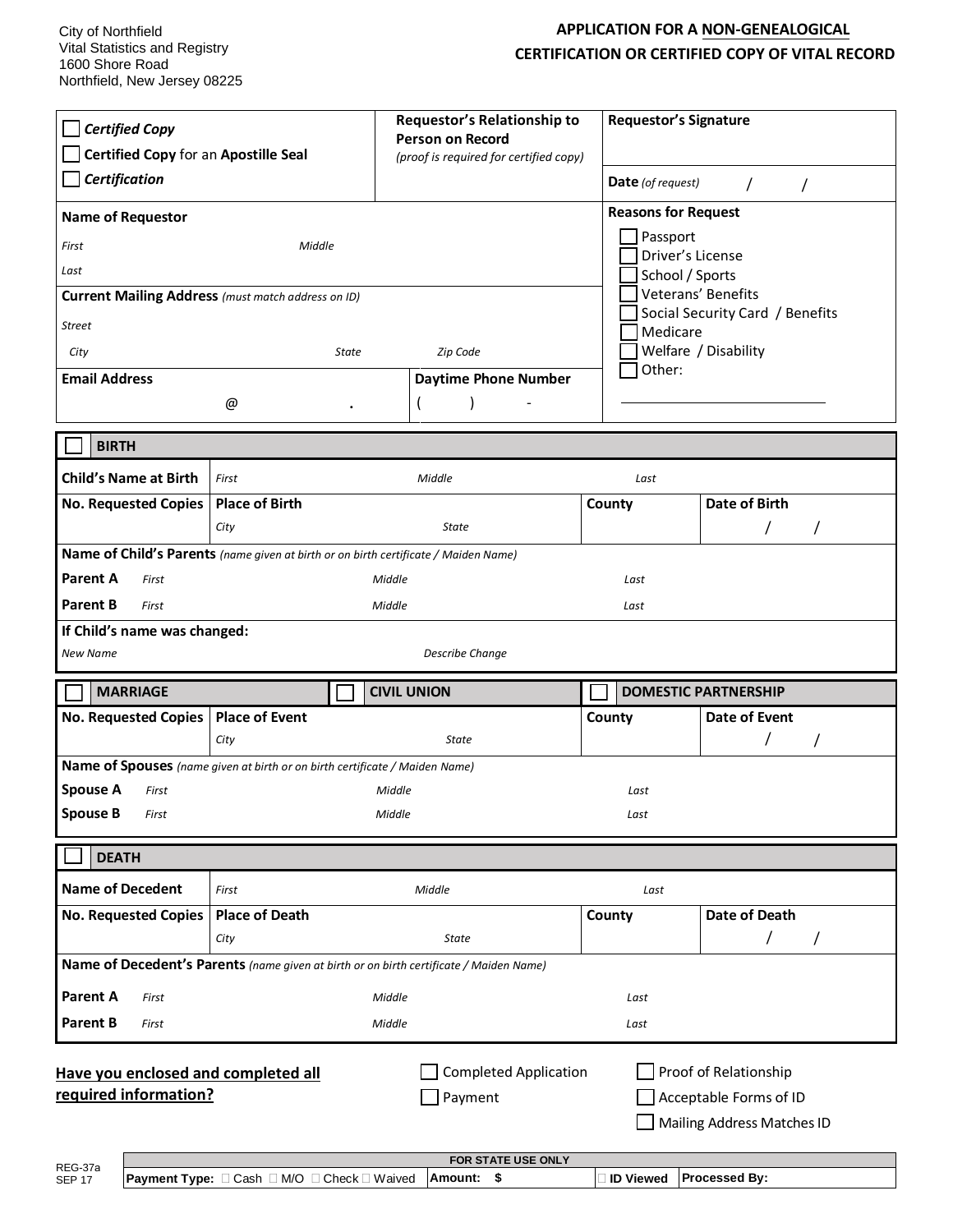## **APPLICATION FOR A NON-GENEALOGICAL CERTIFICATION OR CERTIFIED COPY OF VITAL RECORD**

| <b>Certified Copy</b><br>Certified Copy for an Apostille Seal                                                                                                                            | Requestor's Relationship to<br><b>Person on Record</b><br>(proof is required for certified copy) | <b>Requestor's Signature</b>   |                             |  |
|------------------------------------------------------------------------------------------------------------------------------------------------------------------------------------------|--------------------------------------------------------------------------------------------------|--------------------------------|-----------------------------|--|
| <b>Certification</b>                                                                                                                                                                     |                                                                                                  | <b>Date</b> (of request)       | $\prime$<br>$\prime$        |  |
| <b>Name of Requestor</b>                                                                                                                                                                 |                                                                                                  | <b>Reasons for Request</b>     |                             |  |
| First<br>Middle                                                                                                                                                                          | Passport<br>Driver's License<br>School / Sports                                                  |                                |                             |  |
| Last                                                                                                                                                                                     |                                                                                                  |                                |                             |  |
| Veterans' Benefits<br><b>Current Mailing Address</b> (must match address on ID)<br>Social Security Card / Benefits                                                                       |                                                                                                  |                                |                             |  |
| Street                                                                                                                                                                                   |                                                                                                  | Medicare                       |                             |  |
| City<br>State                                                                                                                                                                            | Zip Code                                                                                         | Welfare / Disability<br>Other: |                             |  |
| <b>Email Address</b>                                                                                                                                                                     | <b>Daytime Phone Number</b>                                                                      |                                |                             |  |
| @                                                                                                                                                                                        |                                                                                                  |                                |                             |  |
| <b>BIRTH</b>                                                                                                                                                                             |                                                                                                  |                                |                             |  |
| <b>Child's Name at Birth</b><br>First                                                                                                                                                    | Middle                                                                                           | Last                           |                             |  |
| <b>Place of Birth</b><br><b>No. Requested Copies</b>                                                                                                                                     |                                                                                                  | County                         | Date of Birth               |  |
| City                                                                                                                                                                                     | State                                                                                            |                                | $\prime$                    |  |
| Name of Child's Parents (name given at birth or on birth certificate / Maiden Name)                                                                                                      |                                                                                                  |                                |                             |  |
| <b>Parent A</b><br>First                                                                                                                                                                 | Middle<br>Last                                                                                   |                                |                             |  |
| Parent B<br>First<br>Middle<br>Last                                                                                                                                                      |                                                                                                  |                                |                             |  |
| If Child's name was changed:<br><b>Describe Change</b><br>New Name                                                                                                                       |                                                                                                  |                                |                             |  |
| <b>MARRIAGE</b>                                                                                                                                                                          | <b>CIVIL UNION</b>                                                                               |                                | <b>DOMESTIC PARTNERSHIP</b> |  |
| No. Requested Copies   Place of Event                                                                                                                                                    |                                                                                                  | County                         | <b>Date of Event</b>        |  |
| City                                                                                                                                                                                     | <b>State</b>                                                                                     |                                |                             |  |
| Name of Spouses (name given at birth or on birth certificate / Maiden Name)                                                                                                              |                                                                                                  |                                |                             |  |
| <b>Spouse A</b><br>First                                                                                                                                                                 | Middle                                                                                           | Last                           |                             |  |
| <b>Spouse B</b><br>First                                                                                                                                                                 | Middle                                                                                           | Last                           |                             |  |
| <b>DEATH</b>                                                                                                                                                                             |                                                                                                  |                                |                             |  |
| <b>Name of Decedent</b><br>First                                                                                                                                                         | Middle                                                                                           | Last                           |                             |  |
| <b>Place of Death</b><br><b>No. Requested Copies</b>                                                                                                                                     |                                                                                                  | County                         | Date of Death               |  |
| City                                                                                                                                                                                     | State                                                                                            |                                | T<br>$\prime$               |  |
| Name of Decedent's Parents (name given at birth or on birth certificate / Maiden Name)                                                                                                   |                                                                                                  |                                |                             |  |
| <b>Parent A</b><br>First                                                                                                                                                                 | Middle                                                                                           | Last                           |                             |  |
| <b>Parent B</b><br>First                                                                                                                                                                 | Middle                                                                                           | Last                           |                             |  |
| <b>Completed Application</b><br>Proof of Relationship<br>Have you enclosed and completed all<br>required information?<br>Payment<br>Acceptable Forms of ID<br>Mailing Address Matches ID |                                                                                                  |                                |                             |  |
| FOR STATE USE ONLY<br>REG-37a<br><b>Processed By:</b><br>Amount: \$<br><b>D</b> Viewed<br><b>Payment Type:</b> □ Cash □ M/O □ Check □ Waived<br><b>SEP 17</b>                            |                                                                                                  |                                |                             |  |